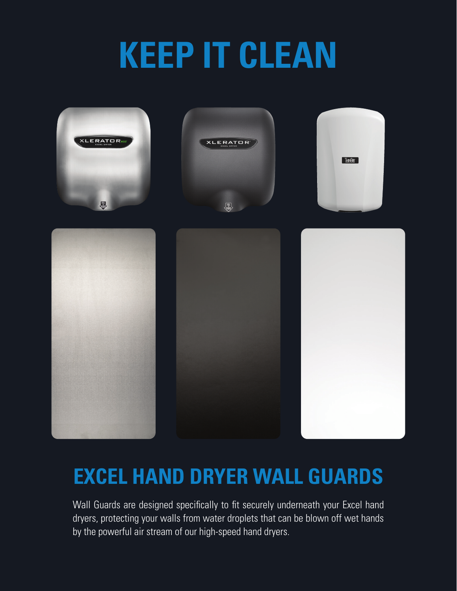# **KEEP IT CLEAN**



## **EXCEL HAND DRYER WALL GUARDS**

Wall Guards are designed specifically to fit securely underneath your Excel hand dryers, protecting your walls from water droplets that can be blown off wet hands by the powerful air stream of our high-speed hand dryers.